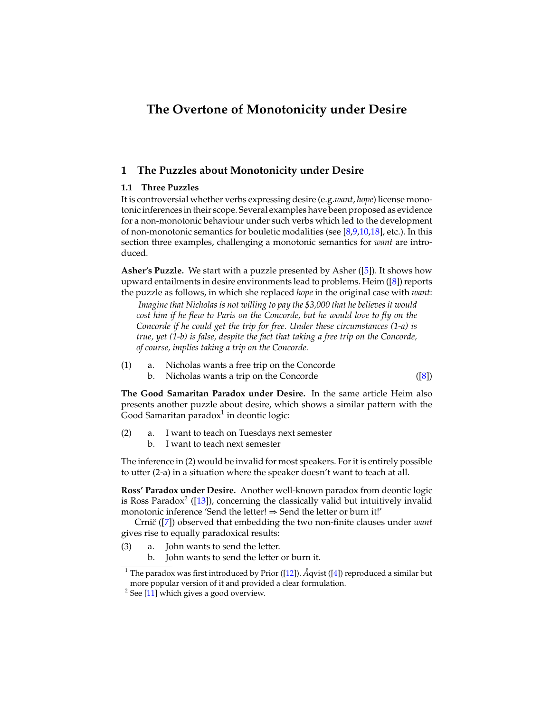# **The Overtone of Monotonicity under Desire**

# **1 The Puzzles about Monotonicity under Desire**

# **1.1 Three Puzzles**

It is controversial whether verbs expressing desire (e.g.*want*, *hope*) license monotonic inferences in their scope. Several examples have been proposed as evidence for a non-monotonic behaviour under such verbs which led to the development of non-monotonic semantics for bouletic modalities (see  $[8,9,10,18]$  $[8,9,10,18]$  $[8,9,10,18]$  $[8,9,10,18]$ , etc.). In this section three examples, challenging a monotonic semantics for *want* are introduced.

**Asher's Puzzle.** We start with a puzzle presented by Asher ([\[5\]](#page-8-4)). It shows how upward entailments in desire environments lead to problems. Heim ([\[8\]](#page-8-0)) reports the puzzle as follows, in which she replaced *hope* in the original case with *want*:

*Imagine that Nicholas is not willing to pay the \$3,000 that he believes it would cost him if he flew to Paris on the Concorde, but he would love to fly on the Concorde if he could get the trip for free. Under these circumstances [\(1-a\)](#page-0-0) is true, yet [\(1-b\)](#page-0-1) is false, despite the fact that taking a free trip on the Concorde, of course, implies taking a trip on the Concorde.*

- <span id="page-0-1"></span><span id="page-0-0"></span>(1) a. Nicholas wants a free trip on the Concorde
	- b. Nicholas wants a trip on the Concorde ([\[8\]](#page-8-0))

**The Good Samaritan Paradox under Desire.** In the same article Heim also presents another puzzle about desire, which shows a similar pattern with the Good Samaritan paradox $^1$  $^1$  in deontic logic:

- <span id="page-0-4"></span><span id="page-0-3"></span>(2) a. I want to teach on Tuesdays next semester
	- b. I want to teach next semester

The inference in [\(2\)](#page-0-3) would be invalid for most speakers. For it is entirely possible to utter [\(2-a\)](#page-0-4) in a situation where the speaker doesn't want to teach at all.

**Ross' Paradox under Desire.** Another well-known paradox from deontic logic is Ross Paradox<sup>[2](#page-0-5)</sup> ([\[13\]](#page-8-5)), concerning the classically valid but intuitively invalid monotonic inference 'Send the letter! ⇒ Send the letter or burn it!'

Crni*c*˘ ([\[7\]](#page-8-6)) observed that embedding the two non-finite clauses under *want* gives rise to equally paradoxical results:

(3) a. John wants to send the letter.

b. John wants to send the letter or burn it.

<span id="page-0-2"></span><sup>&</sup>lt;sup>1</sup> The paradox was first introduced by Prior ([\[12\]](#page-8-7)).  $\AA$ qvist ([\[4\]](#page-8-8)) reproduced a similar but more popular version of it and provided a clear formulation.

<span id="page-0-5"></span> $2$  See [\[11\]](#page-8-9) which gives a good overview.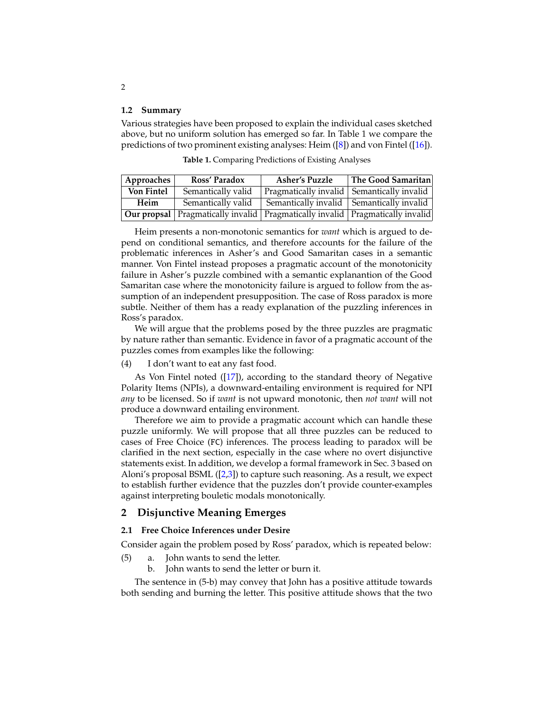#### **1.2 Summary**

Various strategies have been proposed to explain the individual cases sketched above, but no uniform solution has emerged so far. In Table [1](#page-1-0) we compare the predictions of two prominent existing analyses: Heim ([\[8\]](#page-8-0)) and von Fintel ([\[16\]](#page-8-10)).

| Approaches        | Ross' Paradox                                                                        | <b>Asher's Puzzle</b>                        | The Good Samaritan |
|-------------------|--------------------------------------------------------------------------------------|----------------------------------------------|--------------------|
| <b>Von Fintel</b> | Semantically valid                                                                   | Pragmatically invalid   Semantically invalid |                    |
| Heim              | Semantically valid                                                                   | Semantically invalid   Semantically invalid  |                    |
|                   | <b>Our propsal</b> Pragmatically invalid Pragmatically invalid Pragmatically invalid |                                              |                    |

<span id="page-1-0"></span>**Table 1.** Comparing Predictions of Existing Analyses

Heim presents a non-monotonic semantics for *want* which is argued to depend on conditional semantics, and therefore accounts for the failure of the problematic inferences in Asher's and Good Samaritan cases in a semantic manner. Von Fintel instead proposes a pragmatic account of the monotonicity failure in Asher's puzzle combined with a semantic explanantion of the Good Samaritan case where the monotonicity failure is argued to follow from the assumption of an independent presupposition. The case of Ross paradox is more subtle. Neither of them has a ready explanation of the puzzling inferences in Ross's paradox.

We will argue that the problems posed by the three puzzles are pragmatic by nature rather than semantic. Evidence in favor of a pragmatic account of the puzzles comes from examples like the following:

(4) I don't want to eat any fast food.

As Von Fintel noted ([\[17\]](#page-8-11)), according to the standard theory of Negative Polarity Items (NPIs), a downward-entailing environment is required for NPI *any* to be licensed. So if *want* is not upward monotonic, then *not want* will not produce a downward entailing environment.

Therefore we aim to provide a pragmatic account which can handle these puzzle uniformly. We will propose that all three puzzles can be reduced to cases of Free Choice (FC) inferences. The process leading to paradox will be clarified in the next section, especially in the case where no overt disjunctive statements exist. In addition, we develop a formal framework in Sec. [3](#page-5-0) based on Aloni's proposal BSML  $([2,3])$  $([2,3])$  $([2,3])$  $([2,3])$  to capture such reasoning. As a result, we expect to establish further evidence that the puzzles don't provide counter-examples against interpreting bouletic modals monotonically.

# <span id="page-1-2"></span>**2 Disjunctive Meaning Emerges**

#### **2.1 Free Choice Inferences under Desire**

Consider again the problem posed by Ross' paradox, which is repeated below:

- <span id="page-1-1"></span>(5) a. John wants to send the letter.
	- b. John wants to send the letter or burn it.

The sentence in [\(5-b\)](#page-1-1) may convey that John has a positive attitude towards both sending and burning the letter. This positive attitude shows that the two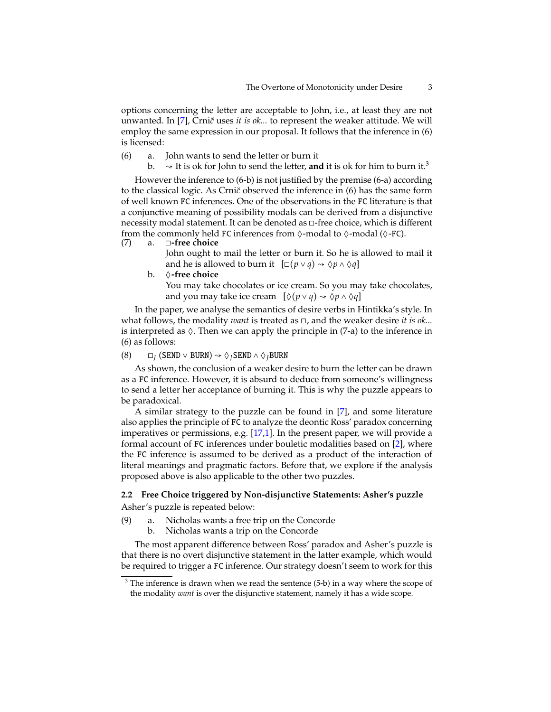options concerning the letter are acceptable to John, i.e., at least they are not unwanted. In [\[7\]](#page-8-6), Crni*c*˘ uses *it is ok...* to represent the weaker attitude. We will employ the same expression in our proposal. It follows that the inference in [\(6\)](#page-2-0) is licensed:

- <span id="page-2-3"></span><span id="page-2-2"></span><span id="page-2-0"></span>(6) a. John wants to send the letter or burn it
	- b.  $\rightarrow$  It is ok for John to send the letter, **and** it is ok for him to burn it.<sup>[3](#page-2-1)</sup>

However the inference to [\(6-b\)](#page-2-2) is not justified by the premise [\(6-a\)](#page-2-3) according to the classical logic. As Crni*c*˘ observed the inference in [\(6\)](#page-2-0) has the same form of well known FC inferences. One of the observations in the FC literature is that a conjunctive meaning of possibility modals can be derived from a disjunctive necessity modal statement. It can be denoted as □-free choice, which is different from the commonly held FC inferences from  $\Diamond$ -modal to  $\Diamond$ -modal ( $\Diamond$ -FC).

<span id="page-2-4"></span>(7) a. ◻**-free choice**

John ought to mail the letter or burn it. So he is allowed to mail it and he is allowed to burn it  $[\Box(p \lor q) \leadsto \Diamond p \land \Diamond q]$ 

<span id="page-2-7"></span>b. ◊**-free choice** You may take chocolates or ice cream. So you may take chocolates, and you may take ice cream  $[\Diamond(p \lor q) \leadsto \Diamond p \land \Diamond q]$ 

In the paper, we analyse the semantics of desire verbs in Hintikka's style. In what follows, the modality *want* is treated as ◻, and the weaker desire *it is ok...* is interpreted as  $\Diamond$ . Then we can apply the principle in [\(7-a\)](#page-2-4) to the inference in [\(6\)](#page-2-0) as follows:

(8)  $□<sub>I</sub>$  (SEND ∨ BURN)  $∼$   $\diamondsuit<sub>I</sub>$ SEND ∧  $\diamondsuit<sub>I</sub>$ BURN

As shown, the conclusion of a weaker desire to burn the letter can be drawn as a FC inference. However, it is absurd to deduce from someone's willingness to send a letter her acceptance of burning it. This is why the puzzle appears to be paradoxical.

A similar strategy to the puzzle can be found in [\[7\]](#page-8-6), and some literature also applies the principle of FC to analyze the deontic Ross' paradox concerning imperatives or permissions, e.g. [\[17](#page-8-11)[,1\]](#page-8-14). In the present paper, we will provide a formal account of FC inferences under bouletic modalities based on [\[2\]](#page-8-12), where the FC inference is assumed to be derived as a product of the interaction of literal meanings and pragmatic factors. Before that, we explore if the analysis proposed above is also applicable to the other two puzzles.

# **2.2 Free Choice triggered by Non-disjunctive Statements: Asher's puzzle** Asher's puzzle is repeated below:

- <span id="page-2-6"></span><span id="page-2-5"></span>(9) a. Nicholas wants a free trip on the Concorde
	- b. Nicholas wants a trip on the Concorde

The most apparent difference between Ross' paradox and Asher's puzzle is that there is no overt disjunctive statement in the latter example, which would be required to trigger a FC inference. Our strategy doesn't seem to work for this

<span id="page-2-1"></span> $3$  The inference is drawn when we read the sentence [\(5-b\)](#page-1-1) in a way where the scope of the modality *want* is over the disjunctive statement, namely it has a wide scope.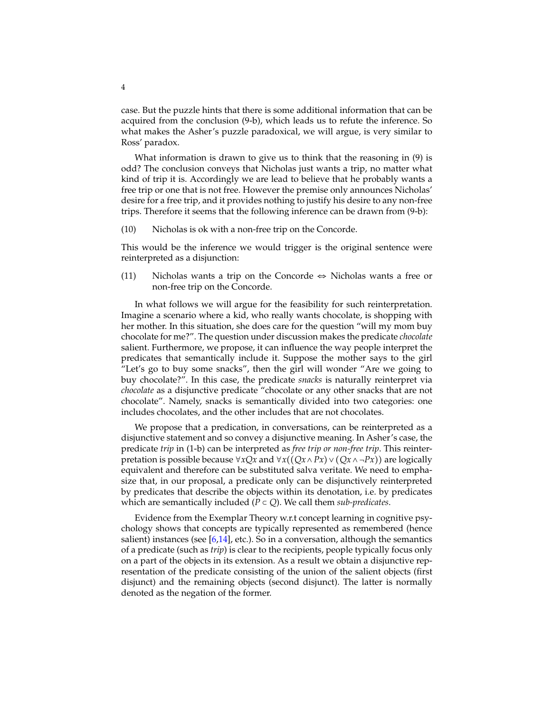case. But the puzzle hints that there is some additional information that can be acquired from the conclusion [\(9-b\),](#page-2-5) which leads us to refute the inference. So what makes the Asher's puzzle paradoxical, we will argue, is very similar to Ross' paradox.

What information is drawn to give us to think that the reasoning in [\(9\)](#page-2-6) is odd? The conclusion conveys that Nicholas just wants a trip, no matter what kind of trip it is. Accordingly we are lead to believe that he probably wants a free trip or one that is not free. However the premise only announces Nicholas' desire for a free trip, and it provides nothing to justify his desire to any non-free trips. Therefore it seems that the following inference can be drawn from [\(9-b\):](#page-2-5)

(10) Nicholas is ok with a non-free trip on the Concorde.

This would be the inference we would trigger is the original sentence were reinterpreted as a disjunction:

(11) Nicholas wants a trip on the Concorde  $\Leftrightarrow$  Nicholas wants a free or non-free trip on the Concorde.

In what follows we will argue for the feasibility for such reinterpretation. Imagine a scenario where a kid, who really wants chocolate, is shopping with her mother. In this situation, she does care for the question "will my mom buy chocolate for me?". The question under discussion makes the predicate *chocolate* salient. Furthermore, we propose, it can influence the way people interpret the predicates that semantically include it. Suppose the mother says to the girl "Let's go to buy some snacks", then the girl will wonder "Are we going to buy chocolate?". In this case, the predicate *snacks* is naturally reinterpret via *chocolate* as a disjunctive predicate "chocolate or any other snacks that are not chocolate". Namely, snacks is semantically divided into two categories: one includes chocolates, and the other includes that are not chocolates.

We propose that a predication, in conversations, can be reinterpreted as a disjunctive statement and so convey a disjunctive meaning. In Asher's case, the predicate *trip* in [\(1-b\)](#page-0-1) can be interpreted as *free trip or non-free trip*. This reinterpretation is possible because <sup>∀</sup>*xQx* and <sup>∀</sup>*x*((*Qx*∧*Px*)∨(*Qx*∧ ¬*Px*)) are logically equivalent and therefore can be substituted salva veritate. We need to emphasize that, in our proposal, a predicate only can be disjunctively reinterpreted by predicates that describe the objects within its denotation, i.e. by predicates which are semantically included ( $P$  ⊂  $Q$ ). We call them *sub-predicates*.

Evidence from the Exemplar Theory w.r.t concept learning in cognitive psychology shows that concepts are typically represented as remembered (hence salient) instances (see  $[6,14]$  $[6,14]$ , etc.). So in a conversation, although the semantics of a predicate (such as *trip*) is clear to the recipients, people typically focus only on a part of the objects in its extension. As a result we obtain a disjunctive representation of the predicate consisting of the union of the salient objects (first disjunct) and the remaining objects (second disjunct). The latter is normally denoted as the negation of the former.

4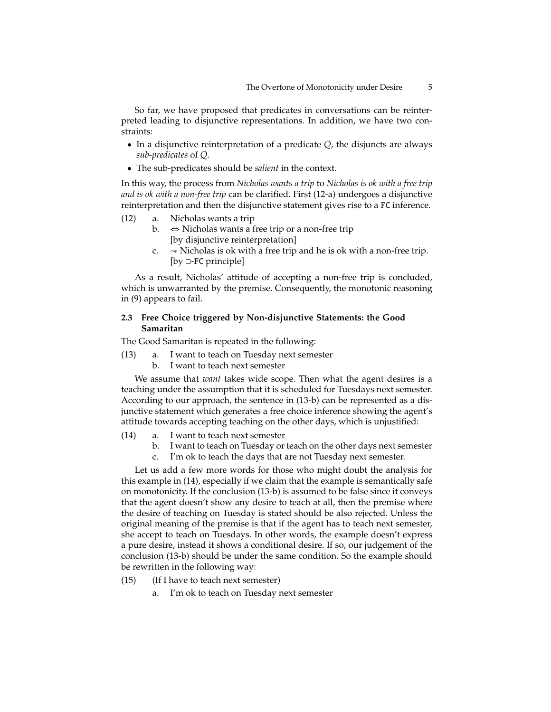So far, we have proposed that predicates in conversations can be reinterpreted leading to disjunctive representations. In addition, we have two constraints:

- In a disjunctive reinterpretation of a predicate *Q*, the disjuncts are always *sub-predicates* of *Q*.
- The sub-predicates should be *salient* in the context.

In this way, the process from *Nicholas wants a trip* to *Nicholas is ok with a free trip and is ok with a non-free trip* can be clarified. First [\(12-a\)](#page-4-0) undergoes a disjunctive reinterpretation and then the disjunctive statement gives rise to a FC inference.

- <span id="page-4-0"></span>(12) a. Nicholas wants a trip
	- b. ⇔ Nicholas wants a free trip or a non-free trip [by disjunctive reinterpretation]
	- $c. \rightarrow$  Nicholas is ok with a free trip and he is ok with a non-free trip. [by □-FC principle]

As a result, Nicholas' attitude of accepting a non-free trip is concluded, which is unwarranted by the premise. Consequently, the monotonic reasoning in [\(9\)](#page-2-6) appears to fail.

# **2.3 Free Choice triggered by Non-disjunctive Statements: the Good Samaritan**

The Good Samaritan is repeated in the following:

- <span id="page-4-1"></span>(13) a. I want to teach on Tuesday next semester
	- b. I want to teach next semester

We assume that *want* takes wide scope. Then what the agent desires is a teaching under the assumption that it is scheduled for Tuesdays next semester. According to our approach, the sentence in [\(13-b\)](#page-4-1) can be represented as a disjunctive statement which generates a free choice inference showing the agent's attitude towards accepting teaching on the other days, which is unjustified:

- <span id="page-4-2"></span>(14) a. I want to teach next semester
	- b. I want to teach on Tuesday or teach on the other days next semester
	- c. I'm ok to teach the days that are not Tuesday next semester.

Let us add a few more words for those who might doubt the analysis for this example in [\(14\),](#page-4-2) especially if we claim that the example is semantically safe on monotonicity. If the conclusion [\(13-b\)](#page-4-1) is assumed to be false since it conveys that the agent doesn't show any desire to teach at all, then the premise where the desire of teaching on Tuesday is stated should be also rejected. Unless the original meaning of the premise is that if the agent has to teach next semester, she accept to teach on Tuesdays. In other words, the example doesn't express a pure desire, instead it shows a conditional desire. If so, our judgement of the conclusion [\(13-b\)](#page-4-1) should be under the same condition. So the example should be rewritten in the following way:

- <span id="page-4-3"></span>(15) (If I have to teach next semester)
	- I'm ok to teach on Tuesday next semester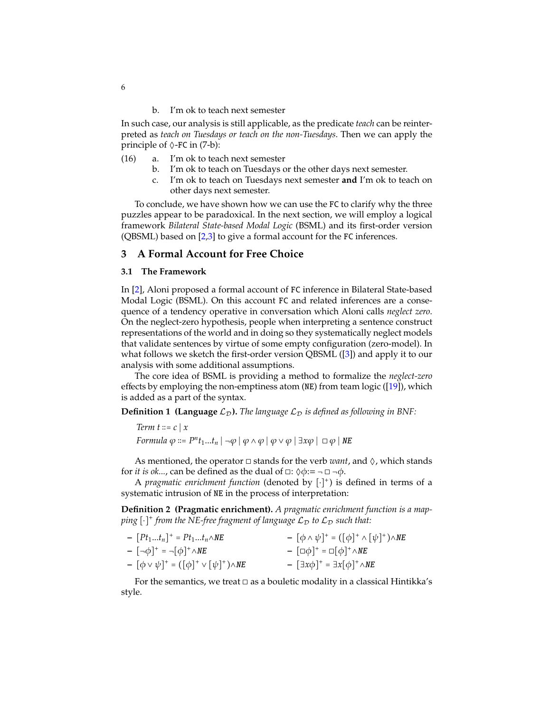b. I'm ok to teach next semester

In such case, our analysis is still applicable, as the predicate *teach* can be reinterpreted as *teach on Tuesdays or teach on the non-Tuesdays*. Then we can apply the principle of  $\Diamond$ -FC in [\(7-b\):](#page-2-7)

- (16) a. I'm ok to teach next semester
	- b. I'm ok to teach on Tuesdays or the other days next semester.
	- c. I'm ok to teach on Tuesdays next semester **and** I'm ok to teach on other days next semester.

To conclude, we have shown how we can use the FC to clarify why the three puzzles appear to be paradoxical. In the next section, we will employ a logical framework *Bilateral State-based Modal Logic* (BSML) and its first-order version (QBSML) based on  $[2,3]$  $[2,3]$  to give a formal account for the FC inferences.

# <span id="page-5-0"></span>**3 A Formal Account for Free Choice**

### **3.1 The Framework**

In [\[2\]](#page-8-12), Aloni proposed a formal account of FC inference in Bilateral State-based Modal Logic (BSML). On this account FC and related inferences are a consequence of a tendency operative in conversation which Aloni calls *neglect zero*. On the neglect-zero hypothesis, people when interpreting a sentence construct representations of the world and in doing so they systematically neglect models that validate sentences by virtue of some empty configuration (zero-model). In what follows we sketch the first-order version QBSML ([\[3\]](#page-8-13)) and apply it to our analysis with some additional assumptions.

The core idea of BSML is providing a method to formalize the *neglect-zero* effects by employing the non-emptiness atom (NE) from team logic ( $[19]$ ), which is added as a part of the syntax.

**Definition 1 (Language**  $\mathcal{L}_D$ ). The language  $\mathcal{L}_D$  is defined as following in BNF:

*Term t* ∶∶= *<sup>c</sup>* <sup>∣</sup> *<sup>x</sup>*

*Formula*  $\varphi ::= P^n t_1...t_n | \neg \varphi | \varphi \wedge \varphi | \varphi \vee \varphi | \exists x \varphi | \Box \varphi |$  NE

As mentioned, the operator  $\Box$  stands for the verb *want*, and  $\Diamond$ , which stands for *it is ok...*, can be defined as the dual of  $\Box$ :  $\Diamond \phi := \neg \Box \neg \phi$ .

<sup>A</sup> *pragmatic enrichment function* (denoted by [⋅] + ) is defined in terms of a systematic intrusion of NE in the process of interpretation:

**Definition 2 (Pragmatic enrichment).** *A pragmatic enrichment function is a map*ping  $[\cdot]^+$  from the NE-free fragment of language  $\mathcal{L}_\mathcal{D}$  to  $\mathcal{L}_\mathcal{D}$  such that:

| $-[Pt_1t_n]^+ = Pt_1t_n \wedge NE$                                        | $- [\phi \wedge \psi]^{+} = ([\phi]^{+} \wedge [\psi]^{+}) \wedge NE$  |
|---------------------------------------------------------------------------|------------------------------------------------------------------------|
| $- \left[ \neg \phi \right]^{+} = \neg \left[ \phi \right]^{+} \wedge NE$ | $-[\Box \phi]^{+} = \Box [\phi]^{+} \wedge NE$                         |
| $- [\phi \vee \psi]^{+} = ([\phi]^{+} \vee [\psi]^{+}) \wedge NE$         | $- \left[ \exists x \phi \right]^{+} = \exists x [\phi]^{+} \wedge NE$ |

For the semantics, we treat  $\Box$  as a bouletic modality in a classical Hintikka's style.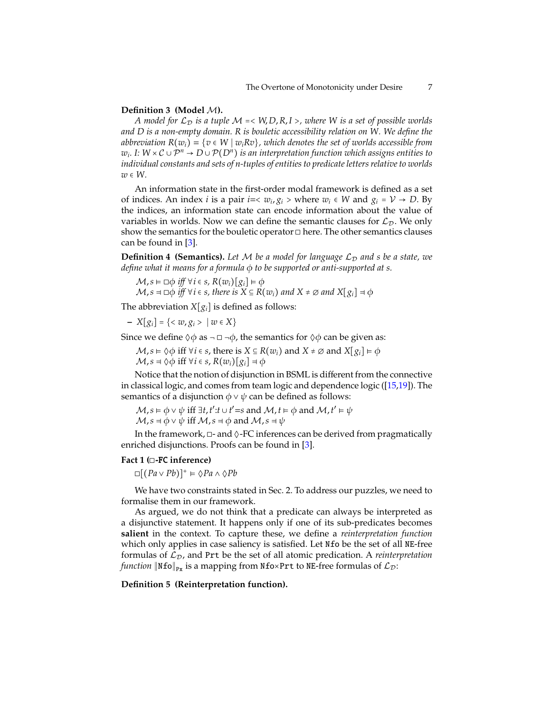### **Definition 3 (Model** M**).**

*A model for*  $\mathcal{L}_D$  *is a tuple*  $\mathcal{M} \ll W, D, R, I >$ , where W *is a set of possible worlds and D is a non-empty domain. R is bouletic accessibility relation on W. We define the abbreviation*  $R(w_i) = \{v \in W \mid w_i Rv\}$ , which denotes the set of worlds accessible from *w*<sub>*i*</sub>. I: W × C ∪  $\mathcal{P}^n \to D \cup \mathcal{P}(D^n)$  *is an interpretation function which assigns entities to individual constants and sets of n-tuples of entities to predicate letters relative to worlds <sup>w</sup>* <sup>∈</sup> *W.*

An information state in the first-order modal framework is defined as a set of indices. An index *i* is a pair *i*= $\langle w_i, g_i \rangle$  where  $w_i \in W$  and  $g_i = V \to D$ . By the indices, an information state can encode information about the value of variables in worlds. Now we can define the semantic clauses for  $\mathcal{L}_{\mathcal{D}}$ . We only show the semantics for the bouletic operator □ here. The other semantics clauses can be found in [\[3\]](#page-8-13).

**Definition 4 (Semantics).** Let M be a model for language  $\mathcal{L}_D$  and s be a state, we *define what it means for a formula* ϕ *to be supported or anti-supported at s.*

 $M, s \vDash \Box \phi$  *iff*  $\forall i \in s$ ,  $R(w_i)[g_i] \vDash \phi$  $M, s = \Box \phi$  *iff*  $\forall i \in s$ , there is  $X \subseteq R(w_i)$  and  $X \neq \emptyset$  and  $X[g_i] = \phi$ 

The abbreviation  $X[g_i]$  is defined as follows:

**–** *<sup>X</sup>*[*gi*] <sup>=</sup> {< *<sup>w</sup>*, *<sup>g</sup><sup>i</sup>* <sup>&</sup>gt; <sup>∣</sup> *<sup>w</sup>* <sup>∈</sup> *<sup>X</sup>*}

Since we define  $\Diamond \phi$  as  $\neg$   $\Box$   $\neg \phi$ , the semantics for  $\Diamond \phi$  can be given as:

 $M, s \models \Diamond \phi$  iff ∀*i* ∈ *s*, there is  $X \subseteq R(w_i)$  and  $X \neq \emptyset$  and  $X[g_i] \models \phi$  $M$ ,  $s \neq \Diamond \phi$  iff  $\forall i \in s$ ,  $R(w_i)[g_i] \neq \phi$ 

Notice that the notion of disjunction in BSML is different from the connective in classical logic, and comes from team logic and dependence logic ([\[15](#page-8-18)[,19\]](#page-8-17)). The semantics of a disjunction  $\phi \lor \psi$  can be defined as follows:

```
M, s \models \phi \lor \psi iff \exists t, t': t \cup t' = s and M, t \models \phi and M, t' \models \psiM, s = \phi \vee \psi iff M, s = \phi and M, s = \psi
```
In the framework,  $\Box$ - and  $\Diamond$ -FC inferences can be derived from pragmatically enriched disjunctions. Proofs can be found in [\[3\]](#page-8-13).

## <span id="page-6-0"></span>**Fact 1 (**◻**-**FC **inference)**

◻[(*Pa* <sup>∨</sup> *Pb*)]<sup>+</sup> <sup>⊧</sup> ◊*Pa* ∧ ◊*Pb*

We have two constraints stated in Sec. [2.](#page-1-2) To address our puzzles, we need to formalise them in our framework.

As argued, we do not think that a predicate can always be interpreted as a disjunctive statement. It happens only if one of its sub-predicates becomes **salient** in the context. To capture these, we define a *reinterpretation function* which only applies in case saliency is satisfied. Let Nfo be the set of all NE-free formulas of  $\mathcal{L}_{\mathcal{D}}$ , and Prt be the set of all atomic predication. A *reinterpretation function*  $\Vert Mf_0 \Vert_{P_x}$  is a mapping from Nfo×Prt to NE-free formulas of  $\mathcal{L}_{\mathcal{D}}$ :

**Definition 5 (Reinterpretation function).**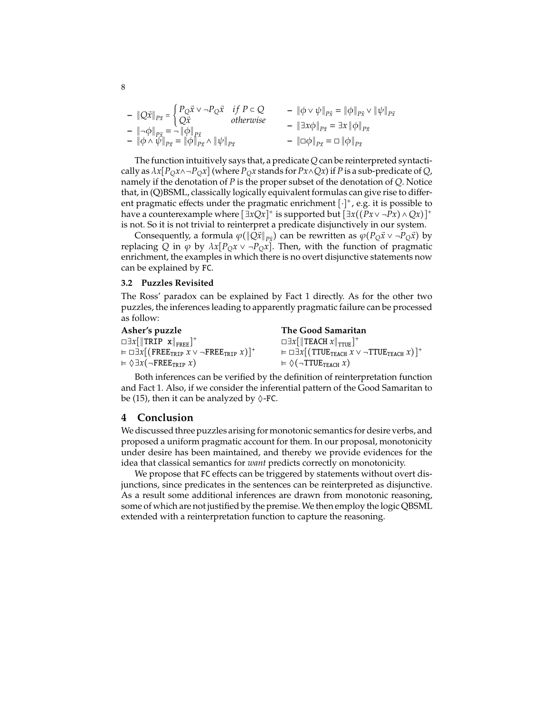$$
-\|Q\vec{x}\|_{P\vec{x}} = \begin{cases} P_{Q}\vec{x} \vee \neg P_{Q}\vec{x} & \text{if } P \subset Q \\ Q\vec{x} & \text{otherwise} \end{cases} - \|\phi \vee \psi\|_{P\vec{x}} = \|\phi\|_{P\vec{x}} \vee \|\psi\|_{P\vec{x}} - \|\neg \phi\|_{P\vec{x}} = \neg \|\phi\|_{P\vec{x}} \wedge \|\psi\|_{P\vec{x}} - \|\Box \phi\|_{P\vec{x}} = \|\phi\|_{P\vec{x}} \wedge \|\psi\|_{P\vec{x}} \qquad - \|\Box \phi\|_{P\vec{x}} = \Box \|\phi\|_{P\vec{x}}
$$

The function intuitively says that, a predicate *Q* can be reinterpreted syntactically as  $\lambda x[P_Qx \wedge \neg P_Qx]$  (where  $P_Qx$  stands for  $Px \wedge Qx$ ) if *P* is a sub-predicate of *Q*, namely if the denotation of *P* is the proper subset of the denotation of *Q*. Notice that, in (Q)BSML, classically logically equivalent formulas can give rise to different pragmatic effects under the pragmatic enrichment  $[\cdot]^+$ , e.g. it is possible to have a counterexample where  $[\exists x Qx]^+$  is supported but  $[\exists x((Px \vee \neg \hat{P}x) \wedge Qx)]^+$ is not. So it is not trivial to reinterpret a predicate disjunctively in our system.

Consequently, a formula  $\varphi(\|\hat{Q}x\|_{P\vec{x}})$  can be rewritten as  $\varphi(P_Q\vec{x} \vee \neg P_Q\vec{x})$  by replacing *Q* in  $\varphi$  by  $\lambda x [P_Q x \vee \neg P_Q x]$ . Then, with the function of pragmatic enrichment, the examples in which there is no overt disjunctive statements now can be explained by FC.

## **3.2 Puzzles Revisited**

The Ross' paradox can be explained by Fact [1](#page-6-0) directly. As for the other two puzzles, the inferences leading to apparently pragmatic failure can be processed as follow:

| Asher's puzzle                                                  | The Good Samaritan                                                                                |
|-----------------------------------------------------------------|---------------------------------------------------------------------------------------------------|
| $\Box \exists x [\Vert \text{TRIP} \ x \Vert_{\text{FREE}}]^+$  | $\Box \exists x \Box T$ <b>EACH</b> $x \Vert_{TTIF}$ <sup>+</sup>                                 |
| $= \Box \exists x [ (FREE_{TRIP} x \vee \neg FRE_{TRIP} x) ]^+$ | $= \Box \exists x [$ (TTUE <sub>TEACH</sub> $x \vee \neg$ TTUE <sub>TEACH</sub> $x)$ <sup>+</sup> |
| $= \Diamond \exists x (\neg \text{FREE}_{TRIP} x)$              | $= \Diamond (\neg \textsf{TTUE}_{\textsf{TEACH}} x)$                                              |

Both inferences can be verified by the definition of reinterpretation function and Fact [1.](#page-6-0) Also, if we consider the inferential pattern of the Good Samaritan to be [\(15\),](#page-4-3) then it can be analyzed by  $\Diamond$ -FC.

## **4 Conclusion**

We discussed three puzzles arising for monotonic semantics for desire verbs, and proposed a uniform pragmatic account for them. In our proposal, monotonicity under desire has been maintained, and thereby we provide evidences for the idea that classical semantics for *want* predicts correctly on monotonicity.

We propose that FC effects can be triggered by statements without overt disjunctions, since predicates in the sentences can be reinterpreted as disjunctive. As a result some additional inferences are drawn from monotonic reasoning, some of which are not justified by the premise. We then employ the logic QBSML extended with a reinterpretation function to capture the reasoning.

8